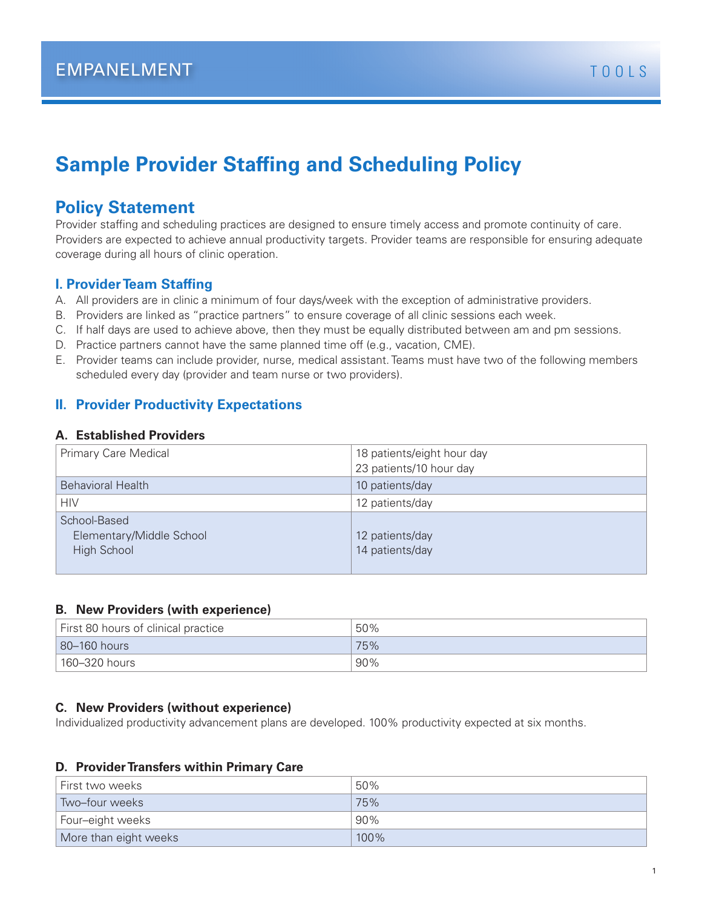# **Sample Provider Staffing and Scheduling Policy**

# **Policy Statement**

Provider staffing and scheduling practices are designed to ensure timely access and promote continuity of care. Providers are expected to achieve annual productivity targets. Provider teams are responsible for ensuring adequate coverage during all hours of clinic operation.

### **I. Provider Team Staffing**

- A. All providers are in clinic a minimum of four days/week with the exception of administrative providers.
- B. Providers are linked as "practice partners" to ensure coverage of all clinic sessions each week.
- C. If half days are used to achieve above, then they must be equally distributed between am and pm sessions.
- D. Practice partners cannot have the same planned time off (e.g., vacation, CME).
- E. Provider teams can include provider, nurse, medical assistant. Teams must have two of the following members scheduled every day (provider and team nurse or two providers).

## **II. Provider Productivity Expectations**

#### **A. Established Providers**

| Primary Care Medical                                    | 18 patients/eight hour day<br>23 patients/10 hour day |
|---------------------------------------------------------|-------------------------------------------------------|
| <b>Behavioral Health</b>                                | 10 patients/day                                       |
| <b>HIV</b>                                              | 12 patients/day                                       |
| School-Based<br>Elementary/Middle School<br>High School | 12 patients/day<br>14 patients/day                    |

#### **B. New Providers (with experience)**

| First 80 hours of clinical practice | 50% |
|-------------------------------------|-----|
| 80-160 hours                        | 75% |
| $^{\circ}$ 160–320 hours            | 90% |

#### **C. New Providers (without experience)**

Individualized productivity advancement plans are developed. 100% productivity expected at six months.

#### **D. Provider Transfers within Primary Care**

| First two weeks       | 50%     |
|-----------------------|---------|
| Two-four weeks        | 75%     |
| Four-eight weeks      | 90%     |
| More than eight weeks | $100\%$ |